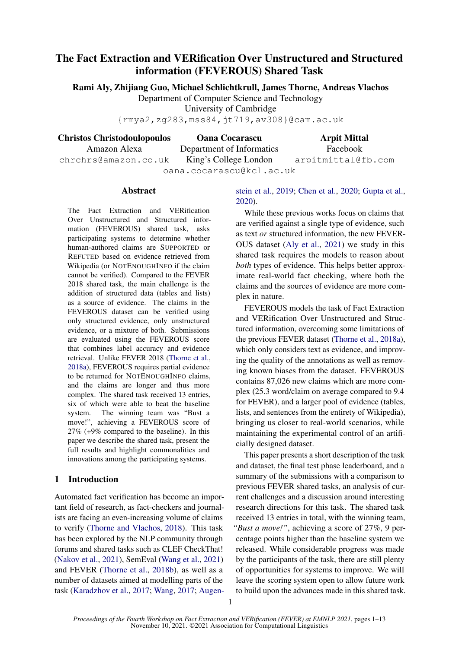# The Fact Extraction and VERification Over Unstructured and Structured information (FEVEROUS) Shared Task

Rami Aly, Zhijiang Guo, Michael Schlichtkrull, James Thorne, Andreas Vlachos

Department of Computer Science and Technology

University of Cambridge

{rmya2,zg283,mss84,jt719,av308}@cam.ac.uk

Christos Christodoulopoulos

Oana Cocarascu Department of Informatics Arpit Mittal Facebook

arpitmittal@fb.com

Amazon Alexa chrchrs@amazon.co.uk

King's College London oana.cocarascu@kcl.ac.uk

### Abstract

The Fact Extraction and VERification Over Unstructured and Structured information (FEVEROUS) shared task, asks participating systems to determine whether human-authored claims are SUPPORTED or REFUTED based on evidence retrieved from Wikipedia (or NOTENOUGHINFO if the claim cannot be verified). Compared to the FEVER 2018 shared task, the main challenge is the addition of structured data (tables and lists) as a source of evidence. The claims in the FEVEROUS dataset can be verified using only structured evidence, only unstructured evidence, or a mixture of both. Submissions are evaluated using the FEVEROUS score that combines label accuracy and evidence retrieval. Unlike FEVER 2018 [\(Thorne et al.,](#page-8-0) [2018a\)](#page-8-0), FEVEROUS requires partial evidence to be returned for NOTENOUGHINFO claims, and the claims are longer and thus more complex. The shared task received 13 entries, six of which were able to beat the baseline system. The winning team was "Bust a move!", achieving a FEVEROUS score of 27% (+9% compared to the baseline). In this paper we describe the shared task, present the full results and highlight commonalities and innovations among the participating systems.

## 1 Introduction

Automated fact verification has become an important field of research, as fact-checkers and journalists are facing an even-increasing volume of claims to verify [\(Thorne and Vlachos,](#page-8-1) [2018\)](#page-8-1). This task has been explored by the NLP community through forums and shared tasks such as CLEF CheckThat! [\(Nakov et al.,](#page-7-0) [2021\)](#page-7-0), SemEval [\(Wang et al.,](#page-8-2) [2021\)](#page-8-2) and FEVER [\(Thorne et al.,](#page-8-3) [2018b\)](#page-8-3), as well as a number of datasets aimed at modelling parts of the task [\(Karadzhov et al.,](#page-7-1) [2017;](#page-7-1) [Wang,](#page-8-4) [2017;](#page-8-4) [Augen-](#page-6-0)

## [stein et al.,](#page-6-0) [2019;](#page-6-0) [Chen et al.,](#page-7-2) [2020;](#page-7-2) [Gupta et al.,](#page-7-3) [2020\)](#page-7-3).

While these previous works focus on claims that are verified against a single type of evidence, such as text *or* structured information, the new FEVER-OUS dataset [\(Aly et al.,](#page-6-1) [2021\)](#page-6-1) we study in this shared task requires the models to reason about *both* types of evidence. This helps better approximate real-world fact checking, where both the claims and the sources of evidence are more complex in nature.

FEVEROUS models the task of Fact Extraction and VERification Over Unstructured and Structured information, overcoming some limitations of the previous FEVER dataset [\(Thorne et al.,](#page-8-0) [2018a\)](#page-8-0), which only considers text as evidence, and improving the quality of the annotations as well as removing known biases from the dataset. FEVEROUS contains 87,026 new claims which are more complex (25.3 word/claim on average compared to 9.4 for FEVER), and a larger pool of evidence (tables, lists, and sentences from the entirety of Wikipedia), bringing us closer to real-world scenarios, while maintaining the experimental control of an artificially designed dataset.

This paper presents a short description of the task and dataset, the final test phase leaderboard, and a summary of the submissions with a comparison to previous FEVER shared tasks, an analysis of current challenges and a discussion around interesting research directions for this task. The shared task received 13 entries in total, with the winning team, *"Bust a move!"*, achieving a score of 27%, 9 percentage points higher than the baseline system we released. While considerable progress was made by the participants of the task, there are still plenty of opportunities for systems to improve. We will leave the scoring system open to allow future work to build upon the advances made in this shared task.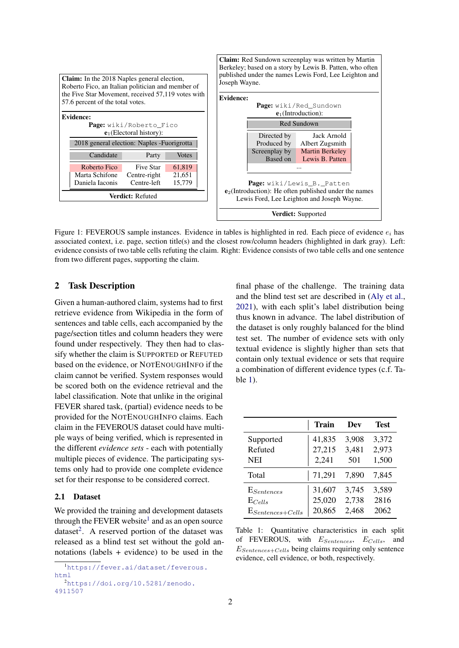

Figure 1: FEVEROUS sample instances. Evidence in tables is highlighted in red. Each piece of evidence  $e_i$  has associated context, i.e. page, section title(s) and the closest row/column headers (highlighted in dark gray). Left: evidence consists of two table cells refuting the claim. Right: Evidence consists of two table cells and one sentence from two different pages, supporting the claim.

## 2 Task Description

Given a human-authored claim, systems had to first retrieve evidence from Wikipedia in the form of sentences and table cells, each accompanied by the page/section titles and column headers they were found under respectively. They then had to classify whether the claim is SUPPORTED or REFUTED based on the evidence, or NOTENOUGHINFO if the claim cannot be verified. System responses would be scored both on the evidence retrieval and the label classification. Note that unlike in the original FEVER shared task, (partial) evidence needs to be provided for the NOTENOUGHINFO claims. Each claim in the FEVEROUS dataset could have multiple ways of being verified, which is represented in the different *evidence sets* - each with potentially multiple pieces of evidence. The participating systems only had to provide one complete evidence set for their response to be considered correct.

#### 2.1 Dataset

We provided the training and development datasets through the FEVER website<sup>[1](#page-1-0)</sup> and as an open source dataset<sup>[2](#page-1-1)</sup>. A reserved portion of the dataset was released as a blind test set without the gold annotations (labels + evidence) to be used in the

```
4911507
```
final phase of the challenge. The training data and the blind test set are described in [\(Aly et al.,](#page-6-1) [2021\)](#page-6-1), with each split's label distribution being thus known in advance. The label distribution of the dataset is only roughly balanced for the blind test set. The number of evidence sets with only textual evidence is slightly higher than sets that contain only textual evidence or sets that require a combination of different evidence types (c.f. Table [1\)](#page-1-2).

<span id="page-1-2"></span>

|                       | <b>Train</b> | Dev   | <b>Test</b> |
|-----------------------|--------------|-------|-------------|
| Supported             | 41,835       | 3,908 | 3,372       |
| Refuted               | 27,215       | 3,481 | 2,973       |
| <b>NEI</b>            | 2,241        | 501   | 1,500       |
| Total                 | 71,291       | 7,890 | 7,845       |
| $E_{Sentences}$       | 31,607       | 3,745 | 3,589       |
| $E_{Cells}$           | 25,020       | 2,738 | 2816        |
| $E_{Sentences+Cells}$ | 20,865       | 2,468 | 2062        |

Table 1: Quantitative characteristics in each split of FEVEROUS, with  $E_{Sentences}$ ,  $E_{Cells}$ , and  $E_{Sentences+Cells}$  being claims requiring only sentence evidence, cell evidence, or both, respectively.

<span id="page-1-0"></span><sup>1</sup>[https://fever.ai/dataset/feverous.](https://fever.ai/dataset/feverous.html) [html](https://fever.ai/dataset/feverous.html) <sup>2</sup>[https://doi.org/10.5281/zenodo.](https://doi.org/10.5281/zenodo.4911507)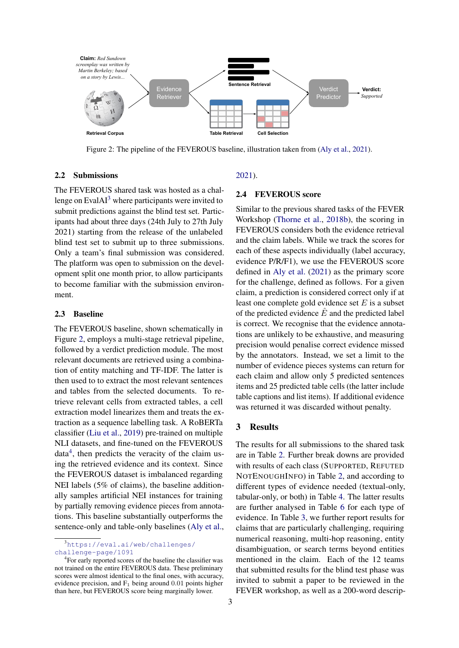<span id="page-2-1"></span>

Figure 2: The pipeline of the FEVEROUS baseline, illustration taken from [\(Aly et al.,](#page-6-1) [2021\)](#page-6-1).

#### 2.2 Submissions

The FEVEROUS shared task was hosted as a challenge on Eval $AI<sup>3</sup>$  $AI<sup>3</sup>$  $AI<sup>3</sup>$  where participants were invited to submit predictions against the blind test set. Participants had about three days (24th July to 27th July 2021) starting from the release of the unlabeled blind test set to submit up to three submissions. Only a team's final submission was considered. The platform was open to submission on the development split one month prior, to allow participants to become familiar with the submission environment.

#### 2.3 Baseline

The FEVEROUS baseline, shown schematically in Figure [2,](#page-2-1) employs a multi-stage retrieval pipeline, followed by a verdict prediction module. The most relevant documents are retrieved using a combination of entity matching and TF-IDF. The latter is then used to to extract the most relevant sentences and tables from the selected documents. To retrieve relevant cells from extracted tables, a cell extraction model linearizes them and treats the extraction as a sequence labelling task. A RoBERTa classifier [\(Liu et al.,](#page-7-4) [2019\)](#page-7-4) pre-trained on multiple NLI datasets, and fine-tuned on the FEVEROUS  $data<sup>4</sup>$  $data<sup>4</sup>$  $data<sup>4</sup>$ , then predicts the veracity of the claim using the retrieved evidence and its context. Since the FEVEROUS dataset is imbalanced regarding NEI labels (5% of claims), the baseline additionally samples artificial NEI instances for training by partially removing evidence pieces from annotations. This baseline substantially outperforms the sentence-only and table-only baselines [\(Aly et al.,](#page-6-1)

#### [2021\)](#page-6-1).

### 2.4 FEVEROUS score

Similar to the previous shared tasks of the FEVER Workshop [\(Thorne et al.,](#page-8-3) [2018b\)](#page-8-3), the scoring in FEVEROUS considers both the evidence retrieval and the claim labels. While we track the scores for each of these aspects individually (label accuracy, evidence P/R/F1), we use the FEVEROUS score defined in [Aly et al.](#page-6-1) [\(2021\)](#page-6-1) as the primary score for the challenge, defined as follows. For a given claim, a prediction is considered correct only if at least one complete gold evidence set  $E$  is a subset of the predicted evidence  $\hat{E}$  and the predicted label is correct. We recognise that the evidence annotations are unlikely to be exhaustive, and measuring precision would penalise correct evidence missed by the annotators. Instead, we set a limit to the number of evidence pieces systems can return for each claim and allow only 5 predicted sentences items and 25 predicted table cells (the latter include table captions and list items). If additional evidence was returned it was discarded without penalty.

### 3 Results

The results for all submissions to the shared task are in Table [2.](#page-3-0) Further break downs are provided with results of each class (SUPPORTED, REFUTED NOTENOUGHINFO) in Table [2,](#page-3-0) and according to different types of evidence needed (textual-only, tabular-only, or both) in Table [4.](#page-5-0) The latter results are further analysed in Table [6](#page-11-0) for each type of evidence. In Table [3,](#page-4-0) we further report results for claims that are particularly challenging, requiring numerical reasoning, multi-hop reasoning, entity disambiguation, or search terms beyond entities mentioned in the claim. Each of the 12 teams that submitted results for the blind test phase was invited to submit a paper to be reviewed in the FEVER workshop, as well as a 200-word descrip-

<span id="page-2-0"></span><sup>3</sup>[https://eval.ai/web/challenges/](https://eval.ai/web/challenges/challenge-page/1091) [challenge-page/1091](https://eval.ai/web/challenges/challenge-page/1091)

<span id="page-2-2"></span><sup>&</sup>lt;sup>4</sup> For early reported scores of the baseline the classifier was not trained on the entire FEVEROUS data. These preliminary scores were almost identical to the final ones, with accuracy, evidence precision, and  $F_1$  being around 0.01 points higher than here, but FEVEROUS score being marginally lower.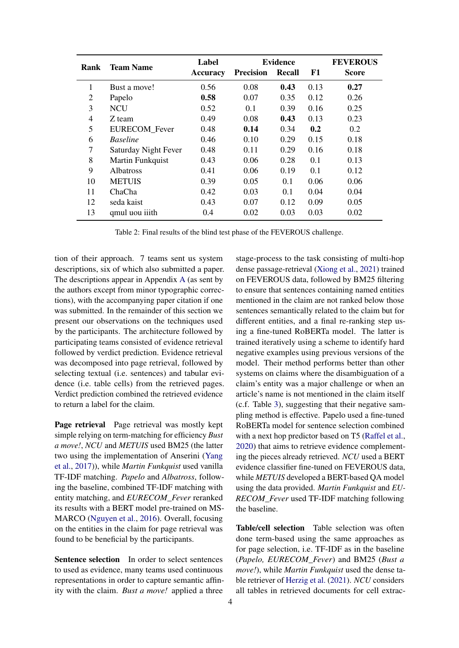<span id="page-3-0"></span>

| <b>Team Name</b><br>Rank |                      | Label           | <b>Evidence</b>  |        |      | <b>FEVEROUS</b> |
|--------------------------|----------------------|-----------------|------------------|--------|------|-----------------|
|                          |                      | <b>Accuracy</b> | <b>Precision</b> | Recall | F1   | Score           |
| 1                        | Bust a move!         | 0.56            | 0.08             | 0.43   | 0.13 | 0.27            |
| 2                        | Papelo               | 0.58            | 0.07             | 0.35   | 0.12 | 0.26            |
| 3                        | <b>NCU</b>           | 0.52            | 0.1              | 0.39   | 0.16 | 0.25            |
| 4                        | Z team               | 0.49            | 0.08             | 0.43   | 0.13 | 0.23            |
| 5                        | EURECOM_Fever        | 0.48            | 0.14             | 0.34   | 0.2  | 0.2             |
| 6                        | <b>Baseline</b>      | 0.46            | 0.10             | 0.29   | 0.15 | 0.18            |
| 7                        | Saturday Night Fever | 0.48            | 0.11             | 0.29   | 0.16 | 0.18            |
| 8                        | Martin Funkquist     | 0.43            | 0.06             | 0.28   | 0.1  | 0.13            |
| 9                        | <b>Albatross</b>     | 0.41            | 0.06             | 0.19   | 0.1  | 0.12            |
| 10                       | <b>METUIS</b>        | 0.39            | 0.05             | 0.1    | 0.06 | 0.06            |
| 11                       | ChaCha               | 0.42            | 0.03             | 0.1    | 0.04 | 0.04            |
| 12                       | seda kaist           | 0.43            | 0.07             | 0.12   | 0.09 | 0.05            |
| 13                       | qmul uou iiith       | 0.4             | 0.02             | 0.03   | 0.03 | 0.02            |

Table 2: Final results of the blind test phase of the FEVEROUS challenge.

tion of their approach. 7 teams sent us system descriptions, six of which also submitted a paper. The descriptions appear in Appendix [A](#page-8-5) (as sent by the authors except from minor typographic corrections), with the accompanying paper citation if one was submitted. In the remainder of this section we present our observations on the techniques used by the participants. The architecture followed by participating teams consisted of evidence retrieval followed by verdict prediction. Evidence retrieval was decomposed into page retrieval, followed by selecting textual (i.e. sentences) and tabular evidence (i.e. table cells) from the retrieved pages. Verdict prediction combined the retrieved evidence to return a label for the claim.

Page retrieval Page retrieval was mostly kept simple relying on term-matching for efficiency *Bust a move!*, *NCU* and *METUIS* used BM25 (the latter two using the implementation of Anserini [\(Yang](#page-8-6) [et al.,](#page-8-6) [2017\)](#page-8-6)), while *Martin Funkquist* used vanilla TF-IDF matching. *Papelo* and *Albatross*, following the baseline, combined TF-IDF matching with entity matching, and *EURECOM\_Fever* reranked its results with a BERT model pre-trained on MS-MARCO [\(Nguyen et al.,](#page-7-5) [2016\)](#page-7-5). Overall, focusing on the entities in the claim for page retrieval was found to be beneficial by the participants.

Sentence selection In order to select sentences to used as evidence, many teams used continuous representations in order to capture semantic affinity with the claim. *Bust a move!* applied a three

stage-process to the task consisting of multi-hop dense passage-retrieval [\(Xiong et al.,](#page-8-7) [2021\)](#page-8-7) trained on FEVEROUS data, followed by BM25 filtering to ensure that sentences containing named entities mentioned in the claim are not ranked below those sentences semantically related to the claim but for different entities, and a final re-ranking step using a fine-tuned RoBERTa model. The latter is trained iteratively using a scheme to identify hard negative examples using previous versions of the model. Their method performs better than other systems on claims where the disambiguation of a claim's entity was a major challenge or when an article's name is not mentioned in the claim itself (c.f. Table [3\)](#page-4-0), suggesting that their negative sampling method is effective. Papelo used a fine-tuned RoBERTa model for sentence selection combined with a next hop predictor based on T5 [\(Raffel et al.,](#page-7-6) [2020\)](#page-7-6) that aims to retrieve evidence complementing the pieces already retrieved. *NCU* used a BERT evidence classifier fine-tuned on FEVEROUS data, while *METUIS* developed a BERT-based QA model using the data provided. *Martin Funkquist* and *EU-RECOM\_Fever* used TF-IDF matching following the baseline.

Table/cell selection Table selection was often done term-based using the same approaches as for page selection, i.e. TF-IDF as in the baseline (*Papelo, EURECOM\_Fever*) and BM25 (*Bust a move!*), while *Martin Funkquist* used the dense table retriever of [Herzig et al.](#page-7-7) [\(2021\)](#page-7-7). *NCU* considers all tables in retrieved documents for cell extrac-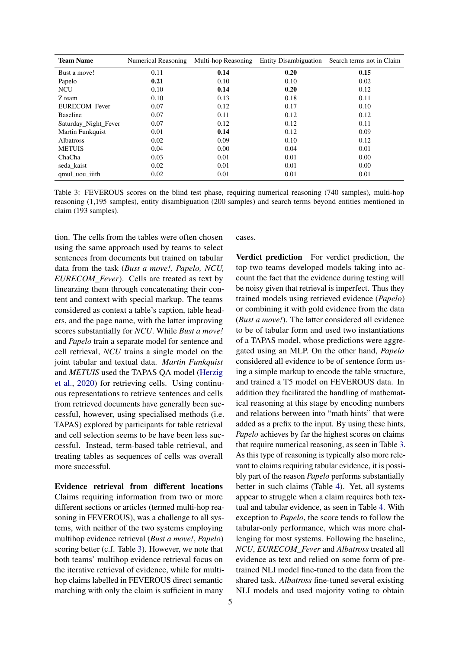<span id="page-4-0"></span>

| <b>Team Name</b>     | Numerical Reasoning | Multi-hop Reasoning | <b>Entity Disambiguation</b> | Search terms not in Claim |
|----------------------|---------------------|---------------------|------------------------------|---------------------------|
| Bust a move!         | 0.11                | 0.14                | 0.20                         | 0.15                      |
| Papelo               | 0.21                | 0.10                | 0.10                         | 0.02                      |
| <b>NCU</b>           | 0.10                | 0.14                | 0.20                         | 0.12                      |
| Z team               | 0.10                | 0.13                | 0.18                         | 0.11                      |
| EURECOM_Fever        | 0.07                | 0.12                | 0.17                         | 0.10                      |
| <b>Baseline</b>      | 0.07                | 0.11                | 0.12                         | 0.12                      |
| Saturday Night Fever | 0.07                | 0.12                | 0.12                         | 0.11                      |
| Martin Funkquist     | 0.01                | 0.14                | 0.12                         | 0.09                      |
| <b>Albatross</b>     | 0.02                | 0.09                | 0.10                         | 0.12                      |
| <b>METUIS</b>        | 0.04                | 0.00                | 0.04                         | 0.01                      |
| ChaCha               | 0.03                | 0.01                | 0.01                         | 0.00                      |
| seda kaist           | 0.02                | 0.01                | 0.01                         | 0.00                      |
| qmul uou iiith       | 0.02                | 0.01                | 0.01                         | 0.01                      |

Table 3: FEVEROUS scores on the blind test phase, requiring numerical reasoning (740 samples), multi-hop reasoning (1,195 samples), entity disambiguation (200 samples) and search terms beyond entities mentioned in claim (193 samples).

tion. The cells from the tables were often chosen using the same approach used by teams to select sentences from documents but trained on tabular data from the task (*Bust a move!, Papelo, NCU, EURECOM\_Fever*). Cells are treated as text by linearzing them through concatenating their content and context with special markup. The teams considered as context a table's caption, table headers, and the page name, with the latter improving scores substantially for *NCU*. While *Bust a move!* and *Papelo* train a separate model for sentence and cell retrieval, *NCU* trains a single model on the joint tabular and textual data. *Martin Funkquist* and *METUIS* used the TAPAS QA model [\(Herzig](#page-7-8) [et al.,](#page-7-8) [2020\)](#page-7-8) for retrieving cells. Using continuous representations to retrieve sentences and cells from retrieved documents have generally been successful, however, using specialised methods (i.e. TAPAS) explored by participants for table retrieval and cell selection seems to be have been less successful. Instead, term-based table retrieval, and treating tables as sequences of cells was overall more successful.

Evidence retrieval from different locations Claims requiring information from two or more different sections or articles (termed multi-hop reasoning in FEVEROUS), was a challenge to all systems, with neither of the two systems employing multihop evidence retrieval (*Bust a move!*, *Papelo*) scoring better (c.f. Table [3\)](#page-4-0). However, we note that both teams' multihop evidence retrieval focus on the iterative retrieval of evidence, while for multihop claims labelled in FEVEROUS direct semantic matching with only the claim is sufficient in many

#### cases.

Verdict prediction For verdict prediction, the top two teams developed models taking into account the fact that the evidence during testing will be noisy given that retrieval is imperfect. Thus they trained models using retrieved evidence (*Papelo*) or combining it with gold evidence from the data (*Bust a move!*). The latter considered all evidence to be of tabular form and used two instantiations of a TAPAS model, whose predictions were aggregated using an MLP. On the other hand, *Papelo* considered all evidence to be of sentence form using a simple markup to encode the table structure, and trained a T5 model on FEVEROUS data. In addition they facilitated the handling of mathematical reasoning at this stage by encoding numbers and relations between into "math hints" that were added as a prefix to the input. By using these hints, *Papelo* achieves by far the highest scores on claims that require numerical reasoning, as seen in Table [3.](#page-4-0) As this type of reasoning is typically also more relevant to claims requiring tabular evidence, it is possibly part of the reason *Papelo* performs substantially better in such claims (Table [4\)](#page-5-0). Yet, all systems appear to struggle when a claim requires both textual and tabular evidence, as seen in Table [4.](#page-5-0) With exception to *Papelo*, the score tends to follow the tabular-only performance, which was more challenging for most systems. Following the baseline, *NCU*, *EURECOM\_Fever* and *Albatross* treated all evidence as text and relied on some form of pretrained NLI model fine-tuned to the data from the shared task. *Albatross* fine-tuned several existing NLI models and used majority voting to obtain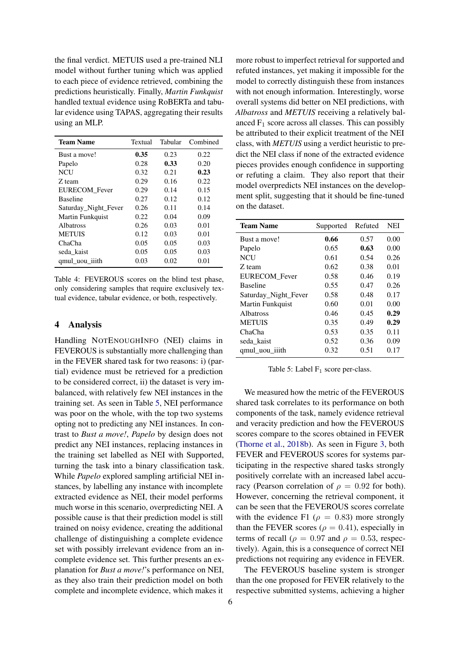the final verdict. METUIS used a pre-trained NLI model without further tuning which was applied to each piece of evidence retrieved, combining the predictions heuristically. Finally, *Martin Funkquist* handled textual evidence using RoBERTa and tabular evidence using TAPAS, aggregating their results using an MLP.

<span id="page-5-0"></span>

| <b>Team Name</b>        | Textual | Tabular | Combined |
|-------------------------|---------|---------|----------|
| Bust a move!            | 0.35    | 0.23    | 0.22     |
| Papelo                  | 0.28    | 0.33    | 0.20     |
| <b>NCU</b>              | 0.32    | 0.21    | 0.23     |
| Z team                  | 0.29    | 0.16    | 0.22     |
| EURECOM_Fever           | 0.29    | 0.14    | 0.15     |
| <b>Baseline</b>         | 0.27    | 0.12    | 0.12     |
| Saturday Night Fever    | 0.26    | 0.11    | 0.14     |
| <b>Martin Funkquist</b> | 0.22    | 0.04    | 0.09     |
| <b>Albatross</b>        | 0.26    | 0.03    | 0.01     |
| <b>METUIS</b>           | 0.12    | 0.03    | 0.01     |
| ChaCha                  | 0.05    | 0.05    | 0.03     |
| seda kaist              | 0.05    | 0.05    | 0.03     |
| qmul_uou_iiith          | 0.03    | 0.02    | 0.01     |

Table 4: FEVEROUS scores on the blind test phase, only considering samples that require exclusively textual evidence, tabular evidence, or both, respectively.

### 4 Analysis

Handling NOTENOUGHINFO (NEI) claims in FEVEROUS is substantially more challenging than in the FEVER shared task for two reasons: i) (partial) evidence must be retrieved for a prediction to be considered correct, ii) the dataset is very imbalanced, with relatively few NEI instances in the training set. As seen in Table [5,](#page-5-1) NEI performance was poor on the whole, with the top two systems opting not to predicting any NEI instances. In contrast to *Bust a move!*, *Papelo* by design does not predict any NEI instances, replacing instances in the training set labelled as NEI with Supported, turning the task into a binary classification task. While *Papelo* explored sampling artificial NEI instances, by labelling any instance with incomplete extracted evidence as NEI, their model performs much worse in this scenario, overpredicting NEI. A possible cause is that their prediction model is still trained on noisy evidence, creating the additional challenge of distinguishing a complete evidence set with possibly irrelevant evidence from an incomplete evidence set. This further presents an explanation for *Bust a move!*'s performance on NEI, as they also train their prediction model on both complete and incomplete evidence, which makes it

more robust to imperfect retrieval for supported and refuted instances, yet making it impossible for the model to correctly distinguish these from instances with not enough information. Interestingly, worse overall systems did better on NEI predictions, with *Albatross* and *METUIS* receiving a relatively balanced  $F_1$  score across all classes. This can possibly be attributed to their explicit treatment of the NEI class, with *METUIS* using a verdict heuristic to predict the NEI class if none of the extracted evidence pieces provides enough confidence in supporting or refuting a claim. They also report that their model overpredicts NEI instances on the development split, suggesting that it should be fine-tuned on the dataset.

<span id="page-5-1"></span>

| <b>Team Name</b>     | Supported | Refuted | <b>NEI</b> |
|----------------------|-----------|---------|------------|
| Bust a move!         | 0.66      | 0.57    | 0.00       |
| Papelo               | 0.65      | 0.63    | 0.00       |
| <b>NCU</b>           | 0.61      | 0.54    | 0.26       |
| Z team               | 0.62      | 0.38    | 0.01       |
| EURECOM_Fever        | 0.58      | 0.46    | 0.19       |
| <b>Baseline</b>      | 0.55      | 0.47    | 0.26       |
| Saturday Night Fever | 0.58      | 0.48    | 0.17       |
| Martin Funkquist     | 0.60      | 0.01    | 0.00       |
| <b>Albatross</b>     | 0.46      | 0.45    | 0.29       |
| <b>METUIS</b>        | 0.35      | 0.49    | 0.29       |
| ChaCha               | 0.53      | 0.35    | 0.11       |
| seda_kaist           | 0.52      | 0.36    | 0.09       |
| qmul_uou_iiith       | 0.32      | 0.51    | 0.17       |

Table 5: Label  $F_1$  score per-class.

We measured how the metric of the FEVEROUS shared task correlates to its performance on both components of the task, namely evidence retrieval and veracity prediction and how the FEVEROUS scores compare to the scores obtained in FEVER [\(Thorne et al.,](#page-8-3) [2018b\)](#page-8-3). As seen in Figure [3,](#page-6-2) both FEVER and FEVEROUS scores for systems participating in the respective shared tasks strongly positively correlate with an increased label accuracy (Pearson correlation of  $\rho = 0.92$  for both). However, concerning the retrieval component, it can be seen that the FEVEROUS scores correlate with the evidence F1 ( $\rho = 0.83$ ) more strongly than the FEVER scores ( $\rho = 0.41$ ), especially in terms of recall ( $\rho = 0.97$  and  $\rho = 0.53$ , respectively). Again, this is a consequence of correct NEI predictions not requiring any evidence in FEVER.

The FEVEROUS baseline system is stronger than the one proposed for FEVER relatively to the respective submitted systems, achieving a higher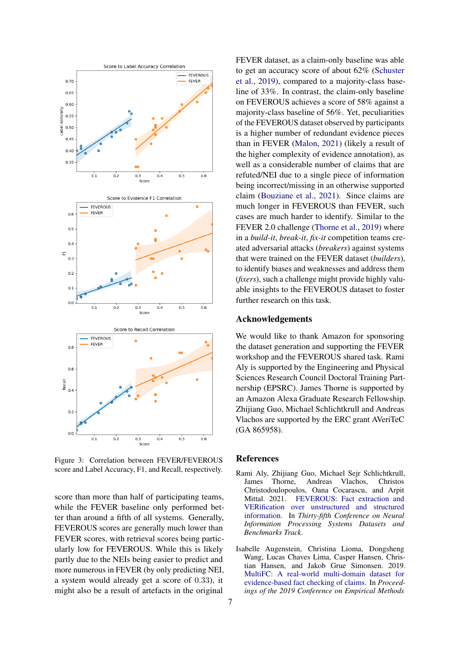<span id="page-6-2"></span>

Figure 3: Correlation between FEVER/FEVEROUS score and Label Accuracy, F1, and Recall, respectively.

score than more than half of participating teams, while the FEVER baseline only performed better than around a fifth of all systems. Generally, FEVEROUS scores are generally much lower than FEVER scores, with retrieval scores being particularly low for FEVEROUS. While this is likely partly due to the NEIs being easier to predict and more numerous in FEVER (by only predicting NEI, a system would already get a score of 0.33), it might also be a result of artefacts in the original

FEVER dataset, as a claim-only baseline was able to get an accuracy score of about 62% [\(Schuster](#page-8-8) [et al.,](#page-8-8) [2019\)](#page-8-8), compared to a majority-class baseline of 33%. In contrast, the claim-only baseline on FEVEROUS achieves a score of 58% against a majority-class baseline of 56%. Yet, peculiarities of the FEVEROUS dataset observed by participants is a higher number of redundant evidence pieces than in FEVER [\(Malon,](#page-7-9) [2021\)](#page-7-9) (likely a result of the higher complexity of evidence annotation), as well as a considerable number of claims that are refuted/NEI due to a single piece of information being incorrect/missing in an otherwise supported claim [\(Bouziane et al.,](#page-7-10) [2021\)](#page-7-10). Since claims are much longer in FEVEROUS than FEVER, such cases are much harder to identify. Similar to the FEVER 2.0 challenge [\(Thorne et al.,](#page-8-9) [2019\)](#page-8-9) where in a *build-it*, *break-it*, *fix-it* competition teams created adversarial attacks (*breakers*) against systems that were trained on the FEVER dataset (*builders*), to identify biases and weaknesses and address them (*fixers*), such a challenge might provide highly valuable insights to the FEVEROUS dataset to foster further research on this task.

### Acknowledgements

We would like to thank Amazon for sponsoring the dataset generation and supporting the FEVER workshop and the FEVEROUS shared task. Rami Aly is supported by the Engineering and Physical Sciences Research Council Doctoral Training Partnership (EPSRC). James Thorne is supported by an Amazon Alexa Graduate Research Fellowship. Zhijiang Guo, Michael Schlichtkrull and Andreas Vlachos are supported by the ERC grant AVeriTeC (GA 865958).

#### References

- <span id="page-6-1"></span>Rami Aly, Zhijiang Guo, Michael Sejr Schlichtkrull, James Thorne, Andreas Vlachos, Christos Christodoulopoulos, Oana Cocarascu, and Arpit Mittal. 2021. [FEVEROUS: Fact extraction and](https://openreview.net/forum?id=h-flVCIlstW) [VERification over unstructured and structured](https://openreview.net/forum?id=h-flVCIlstW) [information.](https://openreview.net/forum?id=h-flVCIlstW) In *Thirty-fifth Conference on Neural Information Processing Systems Datasets and Benchmarks Track*.
- <span id="page-6-0"></span>Isabelle Augenstein, Christina Lioma, Dongsheng Wang, Lucas Chaves Lima, Casper Hansen, Christian Hansen, and Jakob Grue Simonsen. 2019. [MultiFC: A real-world multi-domain dataset for](https://doi.org/10.18653/v1/D19-1475) [evidence-based fact checking of claims.](https://doi.org/10.18653/v1/D19-1475) In *Proceedings of the 2019 Conference on Empirical Methods*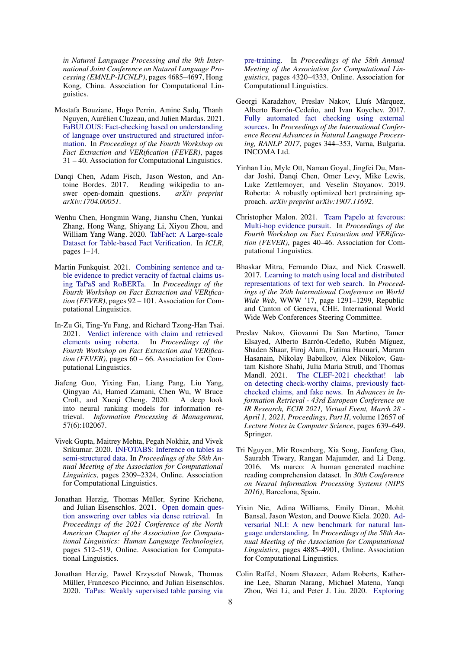*in Natural Language Processing and the 9th International Joint Conference on Natural Language Processing (EMNLP-IJCNLP)*, pages 4685–4697, Hong Kong, China. Association for Computational Linguistics.

- <span id="page-7-10"></span>Mostafa Bouziane, Hugo Perrin, Amine Sadq, Thanh Nguyen, Aurélien Cluzeau, and Julien Mardas. 2021. [FaBULOUS: Fact-checking based on understanding](https://aclanthology.org/D19-6616) [of language over unstructured and structured infor](https://aclanthology.org/D19-6616)[mation.](https://aclanthology.org/D19-6616) In *Proceedings of the Fourth Workshop on Fact Extraction and VERification (FEVER)*, pages 31 – 40. Association for Computational Linguistics.
- <span id="page-7-14"></span>Danqi Chen, Adam Fisch, Jason Weston, and Antoine Bordes. 2017. Reading wikipedia to answer open-domain questions. *arXiv preprint arXiv:1704.00051*.
- <span id="page-7-2"></span>Wenhu Chen, Hongmin Wang, Jianshu Chen, Yunkai Zhang, Hong Wang, Shiyang Li, Xiyou Zhou, and William Yang Wang. 2020. [TabFact: A Large-scale](http://arxiv.org/abs/1909.02164) [Dataset for Table-based Fact Verification.](http://arxiv.org/abs/1909.02164) In *ICLR*, pages 1–14.
- <span id="page-7-16"></span>Martin Funkquist. 2021. [Combining sentence and ta](https://aclanthology.org/D19-6616)[ble evidence to predict veracity of factual claims us](https://aclanthology.org/D19-6616)[ing TaPaS and RoBERTa.](https://aclanthology.org/D19-6616) In *Proceedings of the Fourth Workshop on Fact Extraction and VERification (FEVER)*, pages 92 – 101. Association for Computational Linguistics.
- <span id="page-7-11"></span>In-Zu Gi, Ting-Yu Fang, and Richard Tzong-Han Tsai. 2021. [Verdict inference with claim and retrieved](https://aclanthology.org/D19-6616) [elements using roberta.](https://aclanthology.org/D19-6616) In *Proceedings of the Fourth Workshop on Fact Extraction and VERification (FEVER)*, pages 60 – 66. Association for Computational Linguistics.
- <span id="page-7-15"></span>Jiafeng Guo, Yixing Fan, Liang Pang, Liu Yang, Qingyao Ai, Hamed Zamani, Chen Wu, W Bruce Croft, and Xueqi Cheng. 2020. A deep look into neural ranking models for information retrieval. *Information Processing & Management*, 57(6):102067.
- <span id="page-7-3"></span>Vivek Gupta, Maitrey Mehta, Pegah Nokhiz, and Vivek Srikumar. 2020. [INFOTABS: Inference on tables as](https://doi.org/10.18653/v1/2020.acl-main.210) [semi-structured data.](https://doi.org/10.18653/v1/2020.acl-main.210) In *Proceedings of the 58th Annual Meeting of the Association for Computational Linguistics*, pages 2309–2324, Online. Association for Computational Linguistics.
- <span id="page-7-7"></span>Jonathan Herzig, Thomas Müller, Syrine Krichene, and Julian Eisenschlos. 2021. [Open domain ques](https://doi.org/10.18653/v1/2021.naacl-main.43)[tion answering over tables via dense retrieval.](https://doi.org/10.18653/v1/2021.naacl-main.43) In *Proceedings of the 2021 Conference of the North American Chapter of the Association for Computational Linguistics: Human Language Technologies*, pages 512–519, Online. Association for Computational Linguistics.
- <span id="page-7-8"></span>Jonathan Herzig, Pawel Krzysztof Nowak, Thomas Müller, Francesco Piccinno, and Julian Eisenschlos. 2020. [TaPas: Weakly supervised table parsing via](https://doi.org/10.18653/v1/2020.acl-main.398)

[pre-training.](https://doi.org/10.18653/v1/2020.acl-main.398) In *Proceedings of the 58th Annual Meeting of the Association for Computational Linguistics*, pages 4320–4333, Online. Association for Computational Linguistics.

- <span id="page-7-1"></span>Georgi Karadzhov, Preslav Nakov, Lluís Màrquez, Alberto Barrón-Cedeño, and Ivan Koychev. 2017. [Fully automated fact checking using external](https://doi.org/10.26615/978-954-452-049-6_046) [sources.](https://doi.org/10.26615/978-954-452-049-6_046) In *Proceedings of the International Conference Recent Advances in Natural Language Processing, RANLP 2017*, pages 344–353, Varna, Bulgaria. INCOMA Ltd.
- <span id="page-7-4"></span>Yinhan Liu, Myle Ott, Naman Goyal, Jingfei Du, Mandar Joshi, Danqi Chen, Omer Levy, Mike Lewis, Luke Zettlemoyer, and Veselin Stoyanov. 2019. Roberta: A robustly optimized bert pretraining approach. *arXiv preprint arXiv:1907.11692*.
- <span id="page-7-9"></span>Christopher Malon. 2021. [Team Papelo at feverous:](https://aclanthology.org/D19-6616) [Multi-hop evidence pursuit.](https://aclanthology.org/D19-6616) In *Proceedings of the Fourth Workshop on Fact Extraction and VERification (FEVER)*, pages 40–46. Association for Computational Linguistics.
- <span id="page-7-13"></span>Bhaskar Mitra, Fernando Diaz, and Nick Craswell. 2017. [Learning to match using local and distributed](https://doi.org/10.1145/3038912.3052579) [representations of text for web search.](https://doi.org/10.1145/3038912.3052579) In *Proceedings of the 26th International Conference on World Wide Web*, WWW '17, page 1291–1299, Republic and Canton of Geneva, CHE. International World Wide Web Conferences Steering Committee.
- <span id="page-7-0"></span>Preslav Nakov, Giovanni Da San Martino, Tamer Elsayed, Alberto Barrón-Cedeño, Rubén Míguez, Shaden Shaar, Firoj Alam, Fatima Haouari, Maram Hasanain, Nikolay Babulkov, Alex Nikolov, Gautam Kishore Shahi, Julia Maria Struß, and Thomas Mandl. 2021. [The CLEF-2021 checkthat! lab](https://doi.org/10.1007/978-3-030-72240-1_75) [on detecting check-worthy claims, previously fact](https://doi.org/10.1007/978-3-030-72240-1_75)[checked claims, and fake news.](https://doi.org/10.1007/978-3-030-72240-1_75) In *Advances in Information Retrieval - 43rd European Conference on IR Research, ECIR 2021, Virtual Event, March 28 - April 1, 2021, Proceedings, Part II*, volume 12657 of *Lecture Notes in Computer Science*, pages 639–649. Springer.
- <span id="page-7-5"></span>Tri Nguyen, Mir Rosenberg, Xia Song, Jianfeng Gao, Saurabh Tiwary, Rangan Majumder, and Li Deng. 2016. Ms marco: A human generated machine reading comprehension dataset. In *30th Conference on Neural Information Processing Systems (NIPS 2016)*, Barcelona, Spain.
- <span id="page-7-12"></span>Yixin Nie, Adina Williams, Emily Dinan, Mohit Bansal, Jason Weston, and Douwe Kiela. 2020. [Ad](https://doi.org/10.18653/v1/2020.acl-main.441)[versarial NLI: A new benchmark for natural lan](https://doi.org/10.18653/v1/2020.acl-main.441)[guage understanding.](https://doi.org/10.18653/v1/2020.acl-main.441) In *Proceedings of the 58th Annual Meeting of the Association for Computational Linguistics*, pages 4885–4901, Online. Association for Computational Linguistics.
- <span id="page-7-6"></span>Colin Raffel, Noam Shazeer, Adam Roberts, Katherine Lee, Sharan Narang, Michael Matena, Yanqi Zhou, Wei Li, and Peter J. Liu. 2020. [Exploring](http://jmlr.org/papers/v21/20-074.html)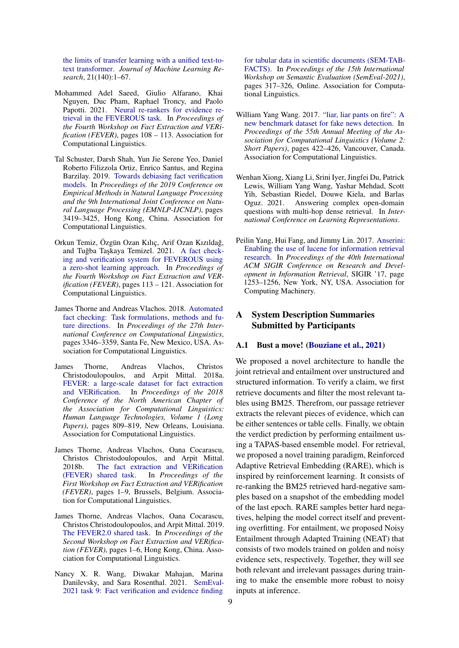[the limits of transfer learning with a unified text-to](http://jmlr.org/papers/v21/20-074.html)[text transformer.](http://jmlr.org/papers/v21/20-074.html) *Journal of Machine Learning Research*, 21(140):1–67.

- <span id="page-8-10"></span>Mohammed Adel Saeed, Giulio Alfarano, Khai Nguyen, Duc Pham, Raphael Troncy, and Paolo Papotti. 2021. [Neural re-rankers for evidence re](https://aclanthology.org/D19-6616)[trieval in the FEVEROUS task.](https://aclanthology.org/D19-6616) In *Proceedings of the Fourth Workshop on Fact Extraction and VERification (FEVER)*, pages 108 – 113. Association for Computational Linguistics.
- <span id="page-8-8"></span>Tal Schuster, Darsh Shah, Yun Jie Serene Yeo, Daniel Roberto Filizzola Ortiz, Enrico Santus, and Regina Barzilay. 2019. [Towards debiasing fact verification](https://doi.org/10.18653/v1/D19-1341) [models.](https://doi.org/10.18653/v1/D19-1341) In *Proceedings of the 2019 Conference on Empirical Methods in Natural Language Processing and the 9th International Joint Conference on Natural Language Processing (EMNLP-IJCNLP)*, pages 3419–3425, Hong Kong, China. Association for Computational Linguistics.
- <span id="page-8-11"></span>Orkun Temiz, Özgün Ozan Kılıç, Arif Ozan Kızıldağ, and Tuğba Taşkaya Temizel. 2021. [A fact check](https://aclanthology.org/D19-6616)[ing and verification system for FEVEROUS using](https://aclanthology.org/D19-6616) [a zero-shot learning approach.](https://aclanthology.org/D19-6616) In *Proceedings of the Fourth Workshop on Fact Extraction and VERification (FEVER)*, pages 113 – 121. Association for Computational Linguistics.
- <span id="page-8-1"></span>James Thorne and Andreas Vlachos. 2018. [Automated](https://aclanthology.org/C18-1283) [fact checking: Task formulations, methods and fu](https://aclanthology.org/C18-1283)[ture directions.](https://aclanthology.org/C18-1283) In *Proceedings of the 27th International Conference on Computational Linguistics*, pages 3346–3359, Santa Fe, New Mexico, USA. Association for Computational Linguistics.
- <span id="page-8-0"></span>James Thorne, Andreas Vlachos, Christos Christodoulopoulos, and Arpit Mittal. 2018a. [FEVER: a large-scale dataset for fact extraction](https://doi.org/10.18653/v1/N18-1074) [and VERification.](https://doi.org/10.18653/v1/N18-1074) In *Proceedings of the 2018 Conference of the North American Chapter of the Association for Computational Linguistics: Human Language Technologies, Volume 1 (Long* Papers), pages 809-819, New Orleans, Louisiana. Association for Computational Linguistics.
- <span id="page-8-3"></span>James Thorne, Andreas Vlachos, Oana Cocarascu, Christos Christodoulopoulos, and Arpit Mittal. 2018b. [The fact extraction and VERification](https://doi.org/10.18653/v1/W18-5501) [\(FEVER\) shared task.](https://doi.org/10.18653/v1/W18-5501) In *Proceedings of the First Workshop on Fact Extraction and VERification (FEVER)*, pages 1–9, Brussels, Belgium. Association for Computational Linguistics.
- <span id="page-8-9"></span>James Thorne, Andreas Vlachos, Oana Cocarascu, Christos Christodoulopoulos, and Arpit Mittal. 2019. [The FEVER2.0 shared task.](https://doi.org/10.18653/v1/D19-6601) In *Proceedings of the Second Workshop on Fact Extraction and VERification (FEVER)*, pages 1–6, Hong Kong, China. Association for Computational Linguistics.
- <span id="page-8-2"></span>Nancy X. R. Wang, Diwakar Mahajan, Marina Danilevsky, and Sara Rosenthal. 2021. [SemEval-](https://doi.org/10.18653/v1/2021.semeval-1.39)[2021 task 9: Fact verification and evidence finding](https://doi.org/10.18653/v1/2021.semeval-1.39)

[for tabular data in scientific documents \(SEM-TAB-](https://doi.org/10.18653/v1/2021.semeval-1.39)[FACTS\).](https://doi.org/10.18653/v1/2021.semeval-1.39) In *Proceedings of the 15th International Workshop on Semantic Evaluation (SemEval-2021)*, pages 317–326, Online. Association for Computational Linguistics.

- <span id="page-8-4"></span>William Yang Wang. 2017. ["liar, liar pants on fire": A](https://doi.org/10.18653/v1/P17-2067) [new benchmark dataset for fake news detection.](https://doi.org/10.18653/v1/P17-2067) In *Proceedings of the 55th Annual Meeting of the Association for Computational Linguistics (Volume 2: Short Papers)*, pages 422–426, Vancouver, Canada. Association for Computational Linguistics.
- <span id="page-8-7"></span>Wenhan Xiong, Xiang Li, Srini Iyer, Jingfei Du, Patrick Lewis, William Yang Wang, Yashar Mehdad, Scott Yih, Sebastian Riedel, Douwe Kiela, and Barlas Oguz. 2021. Answering complex open-domain questions with multi-hop dense retrieval. In *International Conference on Learning Representations*.
- <span id="page-8-6"></span>Peilin Yang, Hui Fang, and Jimmy Lin. 2017. [Anserini:](https://doi.org/10.1145/3077136.3080721) [Enabling the use of lucene for information retrieval](https://doi.org/10.1145/3077136.3080721) [research.](https://doi.org/10.1145/3077136.3080721) In *Proceedings of the 40th International ACM SIGIR Conference on Research and Development in Information Retrieval*, SIGIR '17, page 1253–1256, New York, NY, USA. Association for Computing Machinery.

## <span id="page-8-5"></span>A System Description Summaries Submitted by Participants

#### A.1 Bust a move! [\(Bouziane et al.,](#page-7-10) [2021\)](#page-7-10)

We proposed a novel architecture to handle the joint retrieval and entailment over unstructured and structured information. To verify a claim, we first retrieve documents and filter the most relevant tables using BM25. Therefrom, our passage retriever extracts the relevant pieces of evidence, which can be either sentences or table cells. Finally, we obtain the verdict prediction by performing entailment using a TAPAS-based ensemble model. For retrieval, we proposed a novel training paradigm, Reinforced Adaptive Retrieval Embedding (RARE), which is inspired by reinforcement learning. It consists of re-ranking the BM25 retrieved hard-negative samples based on a snapshot of the embedding model of the last epoch. RARE samples better hard negatives, helping the model correct itself and preventing overfitting. For entailment, we proposed Noisy Entailment through Adapted Training (NEAT) that consists of two models trained on golden and noisy evidence sets, respectively. Together, they will see both relevant and irrelevant passages during training to make the ensemble more robust to noisy inputs at inference.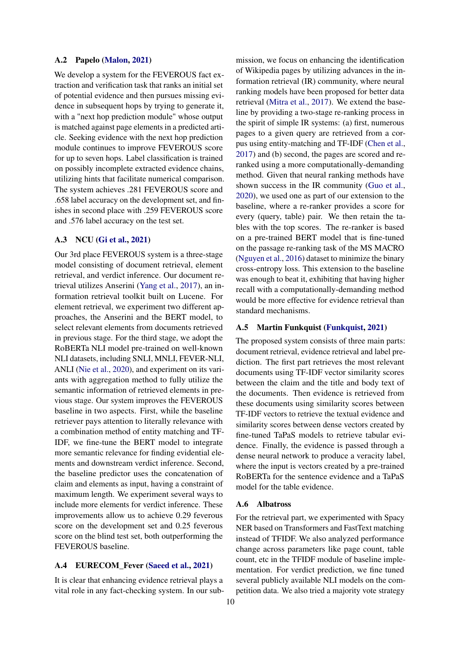#### A.2 Papelo [\(Malon,](#page-7-9) [2021\)](#page-7-9)

We develop a system for the FEVEROUS fact extraction and verification task that ranks an initial set of potential evidence and then pursues missing evidence in subsequent hops by trying to generate it, with a "next hop prediction module" whose output is matched against page elements in a predicted article. Seeking evidence with the next hop prediction module continues to improve FEVEROUS score for up to seven hops. Label classification is trained on possibly incomplete extracted evidence chains, utilizing hints that facilitate numerical comparison. The system achieves .281 FEVEROUS score and .658 label accuracy on the development set, and finishes in second place with .259 FEVEROUS score and .576 label accuracy on the test set.

### A.3 NCU [\(Gi et al.,](#page-7-11) [2021\)](#page-7-11)

Our 3rd place FEVEROUS system is a three-stage model consisting of document retrieval, element retrieval, and verdict inference. Our document retrieval utilizes Anserini [\(Yang et al.,](#page-8-6) [2017\)](#page-8-6), an information retrieval toolkit built on Lucene. For element retrieval, we experiment two different approaches, the Anserini and the BERT model, to select relevant elements from documents retrieved in previous stage. For the third stage, we adopt the RoBERTa NLI model pre-trained on well-known NLI datasets, including SNLI, MNLI, FEVER-NLI, ANLI [\(Nie et al.,](#page-7-12) [2020\)](#page-7-12), and experiment on its variants with aggregation method to fully utilize the semantic information of retrieved elements in previous stage. Our system improves the FEVEROUS baseline in two aspects. First, while the baseline retriever pays attention to literally relevance with a combination method of entity matching and TF-IDF, we fine-tune the BERT model to integrate more semantic relevance for finding evidential elements and downstream verdict inference. Second, the baseline predictor uses the concatenation of claim and elements as input, having a constraint of maximum length. We experiment several ways to include more elements for verdict inference. These improvements allow us to achieve 0.29 feverous score on the development set and 0.25 feverous score on the blind test set, both outperforming the FEVEROUS baseline.

#### A.4 EURECOM\_Fever [\(Saeed et al.,](#page-8-10) [2021\)](#page-8-10)

It is clear that enhancing evidence retrieval plays a vital role in any fact-checking system. In our submission, we focus on enhancing the identification of Wikipedia pages by utilizing advances in the information retrieval (IR) community, where neural ranking models have been proposed for better data retrieval [\(Mitra et al.,](#page-7-13) [2017\)](#page-7-13). We extend the baseline by providing a two-stage re-ranking process in the spirit of simple IR systems: (a) first, numerous pages to a given query are retrieved from a corpus using entity-matching and TF-IDF [\(Chen et al.,](#page-7-14) [2017\)](#page-7-14) and (b) second, the pages are scored and reranked using a more computationally-demanding method. Given that neural ranking methods have shown success in the IR community [\(Guo et al.,](#page-7-15) [2020\)](#page-7-15), we used one as part of our extension to the baseline, where a re-ranker provides a score for every (query, table) pair. We then retain the tables with the top scores. The re-ranker is based on a pre-trained BERT model that is fine-tuned on the passage re-ranking task of the MS MACRO [\(Nguyen et al.,](#page-7-5) [2016\)](#page-7-5) dataset to minimize the binary cross-entropy loss. This extension to the baseline was enough to beat it, exhibiting that having higher recall with a computationally-demanding method would be more effective for evidence retrieval than standard mechanisms.

#### A.5 Martin Funkquist [\(Funkquist,](#page-7-16) [2021\)](#page-7-16)

The proposed system consists of three main parts: document retrieval, evidence retrieval and label prediction. The first part retrieves the most relevant documents using TF-IDF vector similarity scores between the claim and the title and body text of the documents. Then evidence is retrieved from these documents using similarity scores between TF-IDF vectors to retrieve the textual evidence and similarity scores between dense vectors created by fine-tuned TaPaS models to retrieve tabular evidence. Finally, the evidence is passed through a dense neural network to produce a veracity label, where the input is vectors created by a pre-trained RoBERTa for the sentence evidence and a TaPaS model for the table evidence.

#### A.6 Albatross

For the retrieval part, we experimented with Spacy NER based on Transformers and FastText matching instead of TFIDF. We also analyzed performance change across parameters like page count, table count, etc in the TFIDF module of baseline implementation. For verdict prediction, we fine tuned several publicly available NLI models on the competition data. We also tried a majority vote strategy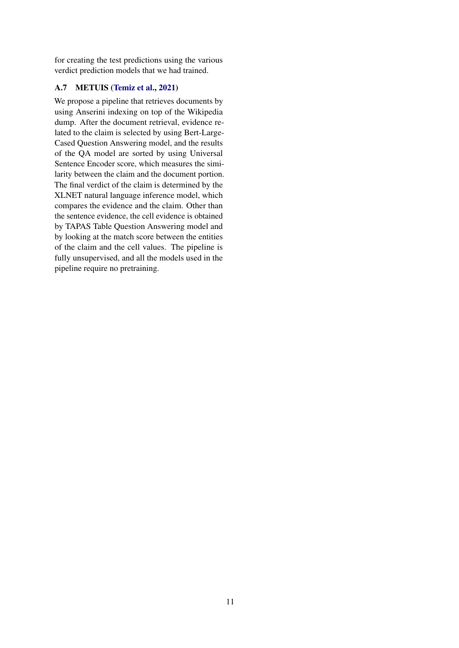for creating the test predictions using the various verdict prediction models that we had trained.

## A.7 METUIS [\(Temiz et al.,](#page-8-11) [2021\)](#page-8-11)

We propose a pipeline that retrieves documents by using Anserini indexing on top of the Wikipedia dump. After the document retrieval, evidence related to the claim is selected by using Bert-Large-Cased Question Answering model, and the results of the QA model are sorted by using Universal Sentence Encoder score, which measures the similarity between the claim and the document portion. The final verdict of the claim is determined by the XLNET natural language inference model, which compares the evidence and the claim. Other than the sentence evidence, the cell evidence is obtained by TAPAS Table Question Answering model and by looking at the match score between the entities of the claim and the cell values. The pipeline is fully unsupervised, and all the models used in the pipeline require no pretraining.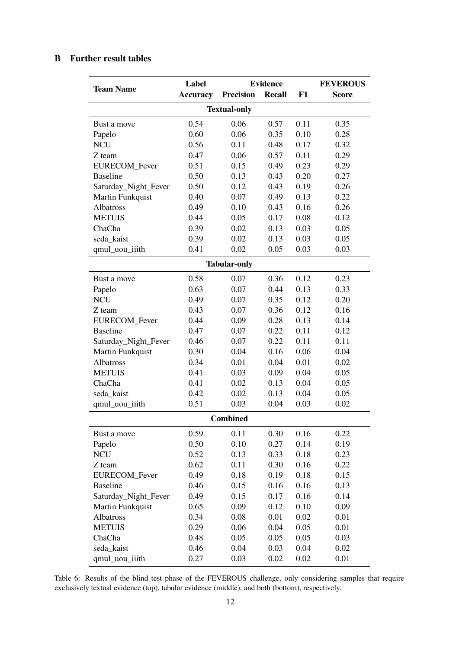# <span id="page-11-0"></span>B Further result tables

| <b>Team Name</b>     | Label           | <b>Evidence</b>     |               |          | <b>FEVEROUS</b> |  |
|----------------------|-----------------|---------------------|---------------|----------|-----------------|--|
|                      | <b>Accuracy</b> | <b>Precision</b>    | <b>Recall</b> | F1       | <b>Score</b>    |  |
| <b>Textual-only</b>  |                 |                     |               |          |                 |  |
| Bust a move          | 0.54            | 0.06                | 0.57          | 0.11     | 0.35            |  |
| Papelo               | 0.60            | 0.06                | 0.35          | 0.10     | 0.28            |  |
| <b>NCU</b>           | 0.56            | 0.11                | 0.48          | 0.17     | 0.32            |  |
| Z team               | 0.47            | 0.06                | 0.57          | 0.11     | 0.29            |  |
| EURECOM_Fever        | 0.51            | 0.15                | 0.49          | 0.23     | 0.29            |  |
| <b>Baseline</b>      | 0.50            | 0.13                | 0.43          | 0.20     | 0.27            |  |
| Saturday_Night_Fever | 0.50            | 0.12                | 0.43          | 0.19     | 0.26            |  |
| Martin Funkquist     | 0.40            | 0.07                | 0.49          | 0.13     | 0.22            |  |
| Albatross            | 0.49            | 0.10                | 0.43          | 0.16     | 0.26            |  |
| <b>METUIS</b>        | 0.44            | 0.05                | 0.17          | 0.08     | 0.12            |  |
| ChaCha               | 0.39            | 0.02                | 0.13          | 0.03     | 0.05            |  |
| seda_kaist           | 0.39            | 0.02                | 0.13          | 0.03     | 0.05            |  |
| qmul_uou_iiith       | 0.41            | 0.02                | 0.05          | 0.03     | 0.03            |  |
|                      |                 | <b>Tabular-only</b> |               |          |                 |  |
| Bust a move          | 0.58            | 0.07                | 0.36          | 0.12     | 0.23            |  |
| Papelo               | 0.63            | 0.07                | 0.44          | 0.13     | 0.33            |  |
| <b>NCU</b>           | 0.49            | 0.07                | 0.35          | 0.12     | 0.20            |  |
| Z team               | 0.43            | 0.07                | 0.36          | 0.12     | 0.16            |  |
| EURECOM_Fever        | 0.44            | 0.09                | 0.28          | 0.13     | 0.14            |  |
| <b>Baseline</b>      | 0.47            | 0.07                | 0.22          | 0.11     | 0.12            |  |
| Saturday_Night_Fever | 0.46            | 0.07                | 0.22          | 0.11     | 0.11            |  |
| Martin Funkquist     | 0.30            | 0.04                | 0.16          | 0.06     | 0.04            |  |
| Albatross            | 0.34            | 0.01                | 0.04          | 0.01     | 0.02            |  |
| <b>METUIS</b>        | 0.41            | 0.03                | 0.09          | 0.04     | 0.05            |  |
| ChaCha               | 0.41            | 0.02                | 0.13          | 0.04     | 0.05            |  |
| seda_kaist           | 0.42            | 0.02                | 0.13          | 0.04     | 0.05            |  |
| qmul_uou_iiith       | 0.51            | 0.03                | 0.04          | 0.03     | 0.02            |  |
|                      |                 | <b>Combined</b>     |               |          |                 |  |
| Bust a move          | 0.59            | 0.11                | 0.30          | 0.16     | 0.22            |  |
| Papelo               | 0.50            | 0.10                | 0.27          | 0.14     | 0.19            |  |
| <b>NCU</b>           | 0.52            | 0.13                | 0.33          | 0.18     | 0.23            |  |
| Z team               | 0.62            | 0.11                | 0.30          | 0.16     | 0.22            |  |
| EURECOM_Fever        | 0.49            | 0.18                | 0.19          | 0.18     | 0.15            |  |
| <b>Baseline</b>      | 0.46            | 0.15                | 0.16          | 0.16     | 0.13            |  |
| Saturday_Night_Fever | 0.49            | 0.15                | 0.17          | 0.16     | 0.14            |  |
| Martin Funkquist     | 0.65            | 0.09                | 0.12          | 0.10     | 0.09            |  |
| Albatross            | 0.34            | 0.08                | 0.01          | 0.02     | 0.01            |  |
| <b>METUIS</b>        | 0.29            | 0.06                | 0.04          | 0.05     | 0.01            |  |
| ChaCha               | 0.48            | 0.05                | 0.05          | 0.05     | 0.03            |  |
| seda_kaist           | 0.46            | 0.04                | 0.03          | 0.04     | 0.02            |  |
| qmul_uou_iiith       | 0.27            | 0.03                | 0.02          | $0.02\,$ | 0.01            |  |

Table 6: Results of the blind test phase of the FEVEROUS challenge, only considering samples that require exclusively textual evidence (top), tabular evidence (middle), and both (bottom), respectively.